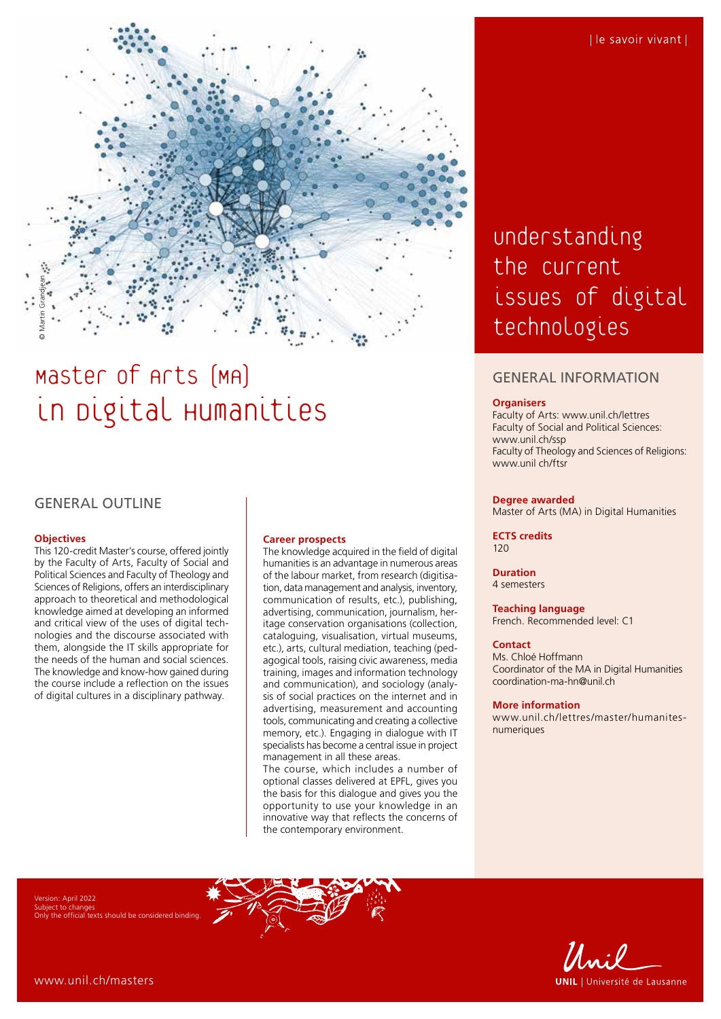

# Master of Arts (MA) in Digital Humanities

# GENERAL OUTLINE

#### **Objectives**

This 120-credit Master's course, offered jointly by the Faculty of Arts, Faculty of Social and Political Sciences and Faculty of Theology and Sciences of Religions, offers an interdisciplinary approach to theoretical and methodological knowledge aimed at developing an informed and critical view of the uses of digital technologies and the discourse associated with them, alongside the IT skills appropriate for the needs of the human and social sciences. The knowledge and know-how gained during the course include a reflection on the issues of digital cultures in a disciplinary pathway.

#### **Career prospects**

The knowledge acquired in the field of digital humanities is an advantage in numerous areas of the labour market, from research (digitisation, data management and analysis, inventory, communication of results, etc.), publishing, advertising, communication, journalism, heritage conservation organisations (collection, cataloguing, visualisation, virtual museums, etc.), arts, cultural mediation, teaching (pedagogical tools, raising civic awareness, media training, images and information technology and communication), and sociology (analysis of social practices on the internet and in advertising, measurement and accounting tools, communicating and creating a collective memory, etc.). Engaging in dialogue with IT specialists has become a central issue in project management in all these areas.

The course, which includes a number of optional classes delivered at EPFL, gives you the basis for this dialogue and gives you the opportunity to use your knowledge in an innovative way that reflects the concerns of the contemporary environment.

# Understanding the current issues of digital technologies

## GENERAL INFORMATION

#### **Organisers**

Faculty of Arts: [www.unil.ch/lettres](http://www.unil.ch/lettres) Faculty of Social and Political Sciences: [www.unil.ch/ssp](http://www.unil.ch/ssp) Faculty of Theology and Sciences of Religions: www.unil ch/ftsr

#### **Degree awarded**

Master of Arts (MA) in Digital Humanities

**ECTS credits** 120

#### **Duration** 4 semesters

**Teaching language**

French. Recommended level: C1

#### **Contact**

Ms. Chloé Hoffmann Coordinator of the MA in Digital Humanities [coordination-ma-hn@unil.ch](mailto:coordination-ma-hn@unil.ch)

#### **More information**

[www.unil.ch/lettres/master/humanites](http://www.unil.ch/lettres/master/humanites-numeriques)[numeriques](http://www.unil.ch/lettres/master/humanites-numeriques)

Version: April 2022 iect to chang Only the official texts should be considered binding.